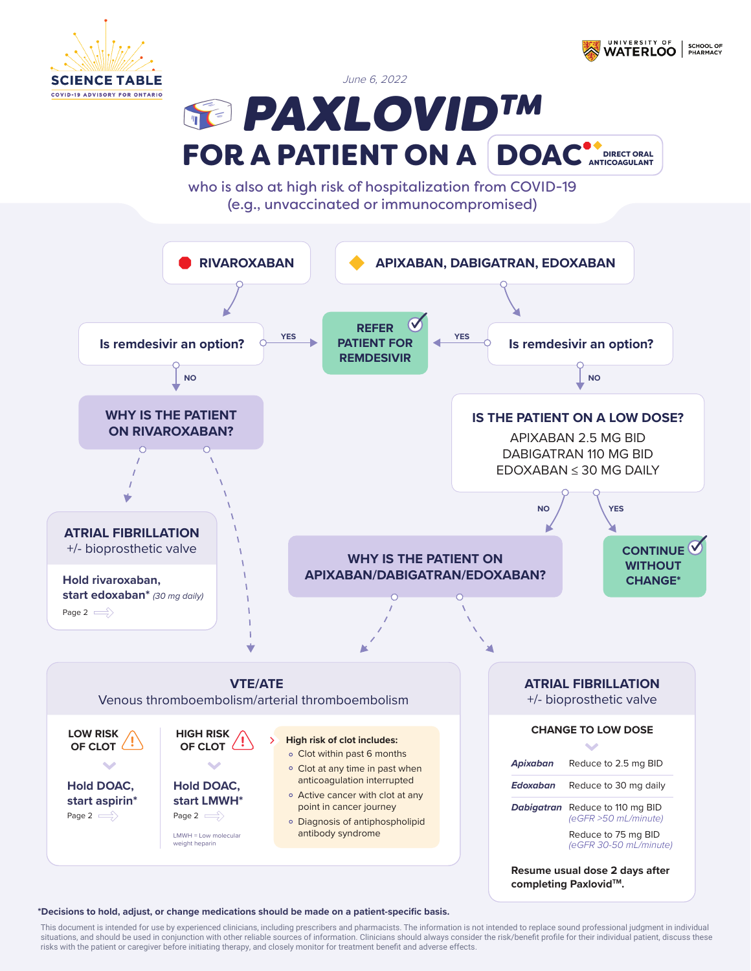



June 6, 2022

**REPAXLOVIDTM** FOR A PATIENT ON A DOAC<sup>\*</sup>DIRECTORAL

who is also at high risk of hospitalization from COVID-19 (e.g., unvaccinated or immunocompromised)



## **\*Decisions to hold, adjust, or change medications should be made on a patient-specific basis.**

This document is intended for use by experienced clinicians, including prescribers and pharmacists. The information is not intended to replace sound professional judgment in individual situations, and should be used in conjunction with other reliable sources of information. Clinicians should always consider the risk/benefit profile for their individual patient, discuss these risks with the patient or caregiver before initiating therapy, and closely monitor for treatment benefit and adverse effects.